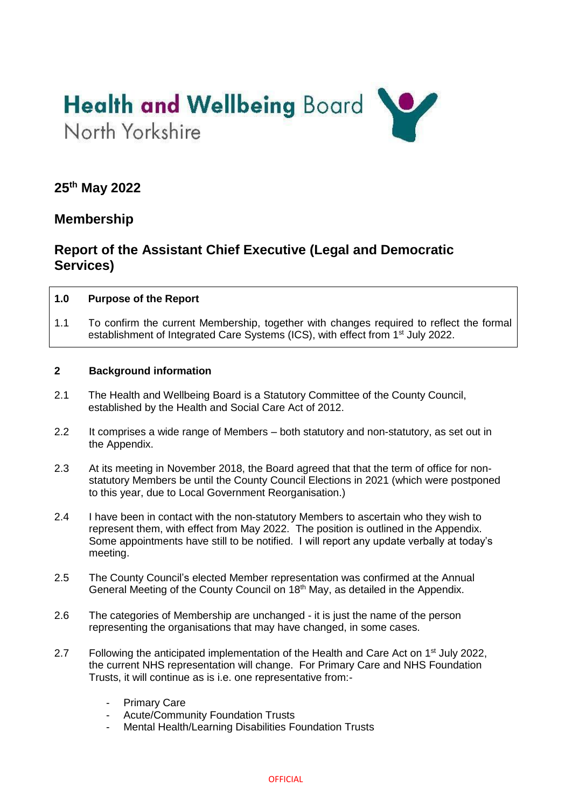

## **25th May 2022**

## **Membership**

# **Report of the Assistant Chief Executive (Legal and Democratic Services)**

#### **1.0 Purpose of the Report**

1.1 To confirm the current Membership, together with changes required to reflect the formal establishment of Integrated Care Systems (ICS), with effect from 1<sup>st</sup> July 2022.

#### **2 Background information**

- 2.1 The Health and Wellbeing Board is a Statutory Committee of the County Council, established by the Health and Social Care Act of 2012.
- 2.2 It comprises a wide range of Members both statutory and non-statutory, as set out in the Appendix.
- 2.3 At its meeting in November 2018, the Board agreed that that the term of office for nonstatutory Members be until the County Council Elections in 2021 (which were postponed to this year, due to Local Government Reorganisation.)
- 2.4 I have been in contact with the non-statutory Members to ascertain who they wish to represent them, with effect from May 2022. The position is outlined in the Appendix. Some appointments have still to be notified. I will report any update verbally at today's meeting.
- 2.5 The County Council's elected Member representation was confirmed at the Annual General Meeting of the County Council on 18<sup>th</sup> May, as detailed in the Appendix.
- 2.6 The categories of Membership are unchanged it is just the name of the person representing the organisations that may have changed, in some cases.
- 2.7 Following the anticipated implementation of the Health and Care Act on 1<sup>st</sup> July 2022, the current NHS representation will change. For Primary Care and NHS Foundation Trusts, it will continue as is i.e. one representative from:-
	- Primary Care
	- Acute/Community Foundation Trusts
	- Mental Health/Learning Disabilities Foundation Trusts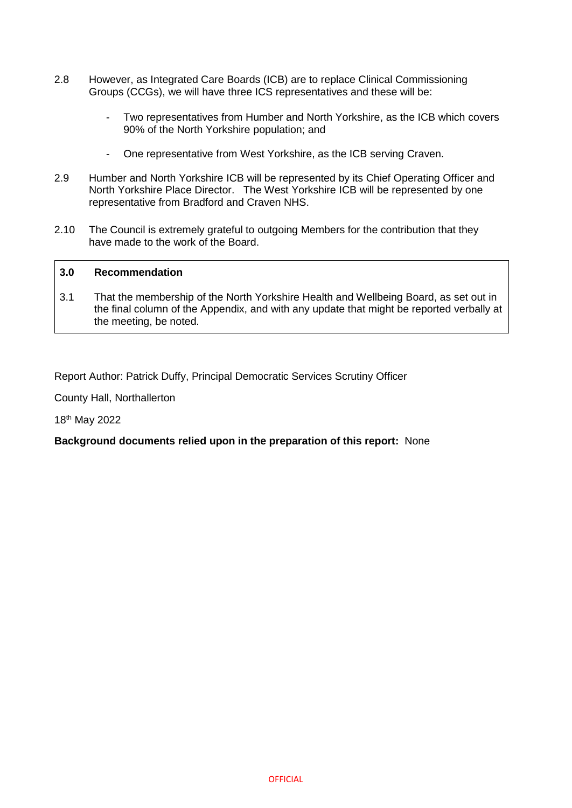- 2.8 However, as Integrated Care Boards (ICB) are to replace Clinical Commissioning Groups (CCGs), we will have three ICS representatives and these will be:
	- Two representatives from Humber and North Yorkshire, as the ICB which covers 90% of the North Yorkshire population; and
	- One representative from West Yorkshire, as the ICB serving Craven.
- 2.9 Humber and North Yorkshire ICB will be represented by its Chief Operating Officer and North Yorkshire Place Director. The West Yorkshire ICB will be represented by one representative from Bradford and Craven NHS.
- 2.10 The Council is extremely grateful to outgoing Members for the contribution that they have made to the work of the Board.

#### **3.0 Recommendation**

3.1 That the membership of the North Yorkshire Health and Wellbeing Board, as set out in the final column of the Appendix, and with any update that might be reported verbally at the meeting, be noted.

Report Author: Patrick Duffy, Principal Democratic Services Scrutiny Officer

County Hall, Northallerton

18th May 2022

#### **Background documents relied upon in the preparation of this report:** None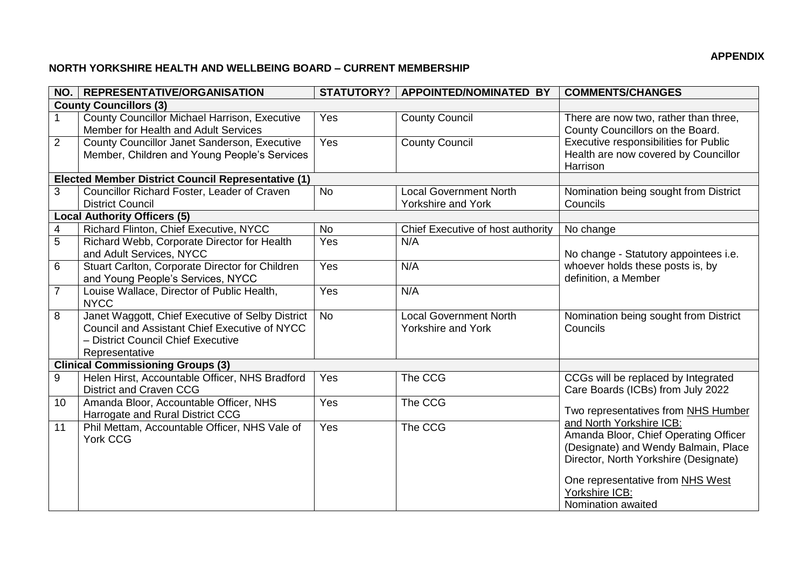### **APPENDIX**

### **NORTH YORKSHIRE HEALTH AND WELLBEING BOARD – CURRENT MEMBERSHIP**

| NO.             | <b>REPRESENTATIVE/ORGANISATION</b>                                                                                                                        |                | STATUTORY?   APPOINTED/NOMINATED BY                 | <b>COMMENTS/CHANGES</b>                                                                                                                                                                                                                                                                                                                           |  |  |  |
|-----------------|-----------------------------------------------------------------------------------------------------------------------------------------------------------|----------------|-----------------------------------------------------|---------------------------------------------------------------------------------------------------------------------------------------------------------------------------------------------------------------------------------------------------------------------------------------------------------------------------------------------------|--|--|--|
|                 | <b>County Councillors (3)</b>                                                                                                                             |                |                                                     |                                                                                                                                                                                                                                                                                                                                                   |  |  |  |
|                 | County Councillor Michael Harrison, Executive<br>Member for Health and Adult Services                                                                     | Yes            | <b>County Council</b>                               | There are now two, rather than three,<br>County Councillors on the Board.<br>Executive responsibilities for Public<br>Health are now covered by Councillor<br>Harrison                                                                                                                                                                            |  |  |  |
| $\overline{2}$  | County Councillor Janet Sanderson, Executive<br>Member, Children and Young People's Services                                                              | Yes            | <b>County Council</b>                               |                                                                                                                                                                                                                                                                                                                                                   |  |  |  |
|                 | Elected Member District Council Representative (1)                                                                                                        |                |                                                     |                                                                                                                                                                                                                                                                                                                                                   |  |  |  |
| 3               | Councillor Richard Foster, Leader of Craven<br><b>District Council</b>                                                                                    | $\overline{N}$ | <b>Local Government North</b><br>Yorkshire and York | Nomination being sought from District<br>Councils                                                                                                                                                                                                                                                                                                 |  |  |  |
|                 | <b>Local Authority Officers (5)</b>                                                                                                                       |                |                                                     |                                                                                                                                                                                                                                                                                                                                                   |  |  |  |
| 4               | Richard Flinton, Chief Executive, NYCC                                                                                                                    | <b>No</b>      | Chief Executive of host authority                   | No change                                                                                                                                                                                                                                                                                                                                         |  |  |  |
| $\overline{5}$  | Richard Webb, Corporate Director for Health<br>and Adult Services, NYCC                                                                                   | Yes            | N/A                                                 | No change - Statutory appointees i.e.<br>whoever holds these posts is, by<br>definition, a Member                                                                                                                                                                                                                                                 |  |  |  |
| 6               | Stuart Carlton, Corporate Director for Children<br>and Young People's Services, NYCC                                                                      | Yes            | N/A                                                 |                                                                                                                                                                                                                                                                                                                                                   |  |  |  |
| $\overline{7}$  | Louise Wallace, Director of Public Health,<br><b>NYCC</b>                                                                                                 | Yes            | N/A                                                 |                                                                                                                                                                                                                                                                                                                                                   |  |  |  |
| 8               | Janet Waggott, Chief Executive of Selby District<br>Council and Assistant Chief Executive of NYCC<br>- District Council Chief Executive<br>Representative | <b>No</b>      | <b>Local Government North</b><br>Yorkshire and York | Nomination being sought from District<br>Councils                                                                                                                                                                                                                                                                                                 |  |  |  |
|                 | <b>Clinical Commissioning Groups (3)</b>                                                                                                                  |                |                                                     |                                                                                                                                                                                                                                                                                                                                                   |  |  |  |
| 9               | Helen Hirst, Accountable Officer, NHS Bradford<br><b>District and Craven CCG</b>                                                                          | Yes            | The CCG                                             | CCGs will be replaced by Integrated<br>Care Boards (ICBs) from July 2022<br>Two representatives from NHS Humber<br>and North Yorkshire ICB:<br>Amanda Bloor, Chief Operating Officer<br>(Designate) and Wendy Balmain, Place<br>Director, North Yorkshire (Designate)<br>One representative from NHS West<br>Yorkshire ICB:<br>Nomination awaited |  |  |  |
| 10 <sup>1</sup> | Amanda Bloor, Accountable Officer, NHS<br>Harrogate and Rural District CCG                                                                                | Yes            | The CCG                                             |                                                                                                                                                                                                                                                                                                                                                   |  |  |  |
| 11              | Phil Mettam, Accountable Officer, NHS Vale of<br>York CCG                                                                                                 | Yes            | The CCG                                             |                                                                                                                                                                                                                                                                                                                                                   |  |  |  |